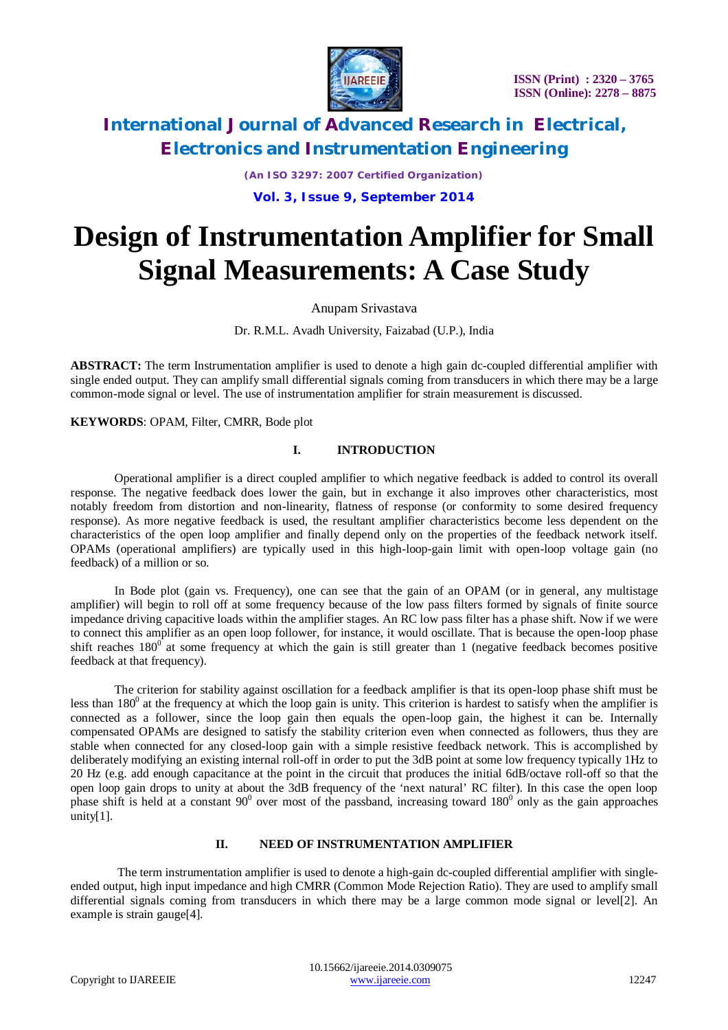

*(An ISO 3297: 2007 Certified Organization)* **Vol. 3, Issue 9, September 2014**

# **Design of Instrumentation Amplifier for Small Signal Measurements: A Case Study**

Anupam Srivastava

Dr. R.M.L. Avadh University, Faizabad (U.P.), India

**ABSTRACT:** The term Instrumentation amplifier is used to denote a high gain dc-coupled differential amplifier with single ended output. They can amplify small differential signals coming from transducers in which there may be a large common-mode signal or level. The use of instrumentation amplifier for strain measurement is discussed.

**KEYWORDS**: OPAM, Filter, CMRR, Bode plot

#### **I. INTRODUCTION**

Operational amplifier is a direct coupled amplifier to which negative feedback is added to control its overall response. The negative feedback does lower the gain, but in exchange it also improves other characteristics, most notably freedom from distortion and non-linearity, flatness of response (or conformity to some desired frequency response). As more negative feedback is used, the resultant amplifier characteristics become less dependent on the characteristics of the open loop amplifier and finally depend only on the properties of the feedback network itself. OPAMs (operational amplifiers) are typically used in this high-loop-gain limit with open-loop voltage gain (no feedback) of a million or so.

In Bode plot (gain vs. Frequency), one can see that the gain of an OPAM (or in general, any multistage amplifier) will begin to roll off at some frequency because of the low pass filters formed by signals of finite source impedance driving capacitive loads within the amplifier stages. An RC low pass filter has a phase shift. Now if we were to connect this amplifier as an open loop follower, for instance, it would oscillate. That is because the open-loop phase shift reaches  $180^\circ$  at some frequency at which the gain is still greater than 1 (negative feedback becomes positive feedback at that frequency).

The criterion for stability against oscillation for a feedback amplifier is that its open-loop phase shift must be less than  $180^{\circ}$  at the frequency at which the loop gain is unity. This criterion is hardest to satisfy when the amplifier is connected as a follower, since the loop gain then equals the open-loop gain, the highest it can be. Internally compensated OPAMs are designed to satisfy the stability criterion even when connected as followers, thus they are stable when connected for any closed-loop gain with a simple resistive feedback network. This is accomplished by deliberately modifying an existing internal roll-off in order to put the 3dB point at some low frequency typically 1Hz to 20 Hz (e.g. add enough capacitance at the point in the circuit that produces the initial 6dB/octave roll-off so that the open loop gain drops to unity at about the 3dB frequency of the 'next natural' RC filter). In this case the open loop phase shift is held at a constant  $90^0$  over most of the passband, increasing toward  $180^0$  only as the gain approaches unity[1].

#### **II. NEED OF INSTRUMENTATION AMPLIFIER**

The term instrumentation amplifier is used to denote a high-gain dc-coupled differential amplifier with singleended output, high input impedance and high CMRR (Common Mode Rejection Ratio). They are used to amplify small differential signals coming from transducers in which there may be a large common mode signal or level[2]. An example is strain gauge[4].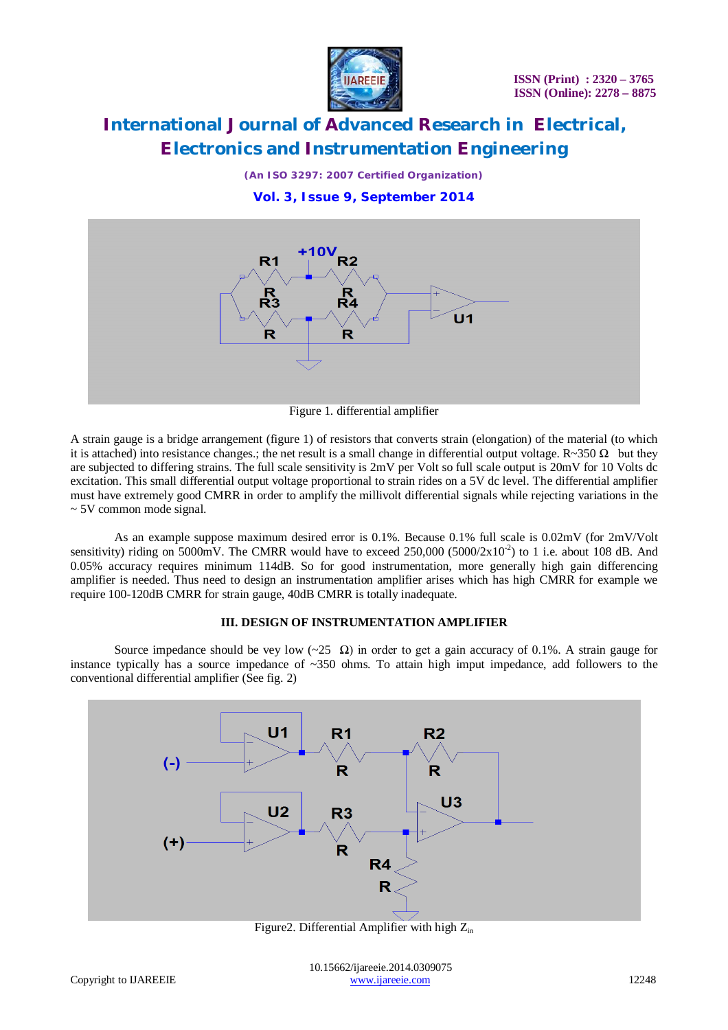

*(An ISO 3297: 2007 Certified Organization)*





Figure 1. differential amplifier

A strain gauge is a bridge arrangement (figure 1) of resistors that converts strain (elongation) of the material (to which it is attached) into resistance changes,; the net result is a small change in differential output voltage.  $R \sim 350 \Omega$  but they are subjected to differing strains. The full scale sensitivity is 2mV per Volt so full scale output is 20mV for 10 Volts dc excitation. This small differential output voltage proportional to strain rides on a 5V dc level. The differential amplifier must have extremely good CMRR in order to amplify the millivolt differential signals while rejecting variations in the  $\sim$  5V common mode signal.

As an example suppose maximum desired error is 0.1%. Because 0.1% full scale is 0.02mV (for 2mV/Volt sensitivity) riding on 5000mV. The CMRR would have to exceed  $250,000$  (5000/2x10<sup>-2</sup>) to 1 i.e. about 108 dB. And 0.05% accuracy requires minimum 114dB. So for good instrumentation, more generally high gain differencing amplifier is needed. Thus need to design an instrumentation amplifier arises which has high CMRR for example we require 100-120dB CMRR for strain gauge, 40dB CMRR is totally inadequate.

## **III. DESIGN OF INSTRUMENTATION AMPLIFIER**

Source impedance should be vey low ( $\sim$ 25  $\Omega$ ) in order to get a gain accuracy of 0.1%. A strain gauge for instance typically has a source impedance of ~350 ohms. To attain high imput impedance, add followers to the conventional differential amplifier (See fig. 2)



Figure2. Differential Amplifier with high  $Z_{in}$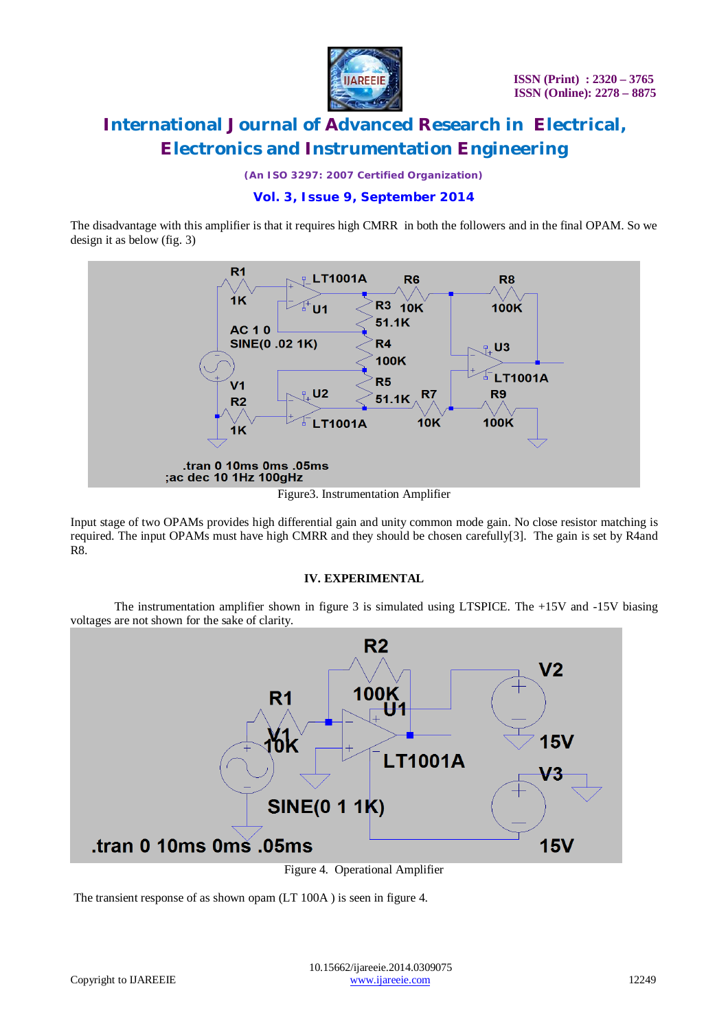

*(An ISO 3297: 2007 Certified Organization)*

## **Vol. 3, Issue 9, September 2014**

The disadvantage with this amplifier is that it requires high CMRR in both the followers and in the final OPAM. So we design it as below (fig. 3)



Figure3. Instrumentation Amplifier

Input stage of two OPAMs provides high differential gain and unity common mode gain. No close resistor matching is required. The input OPAMs must have high CMRR and they should be chosen carefully[3]. The gain is set by R4and R8.

#### **IV. EXPERIMENTAL**

The instrumentation amplifier shown in figure 3 is simulated using LTSPICE. The +15V and -15V biasing voltages are not shown for the sake of clarity.



Figure 4. Operational Amplifier

The transient response of as shown opam (LT 100A ) is seen in figure 4.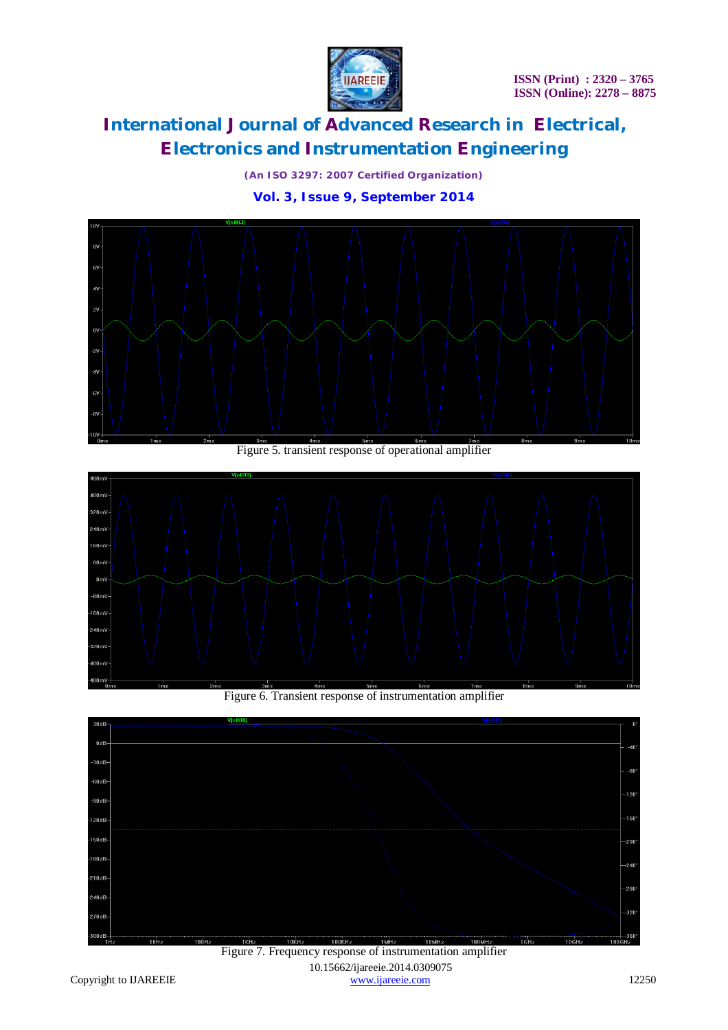

*(An ISO 3297: 2007 Certified Organization)*

**Vol. 3, Issue 9, September 2014**



Figure 5. transient response of operational amplifier



Figure 6. Transient response of instrumentation amplifier



 10.15662/ijareeie.2014.0309075 Copyright to IJAREEIE www.ijareeie.com 12250 Figure 7. Frequency response of instrumentation amplifier